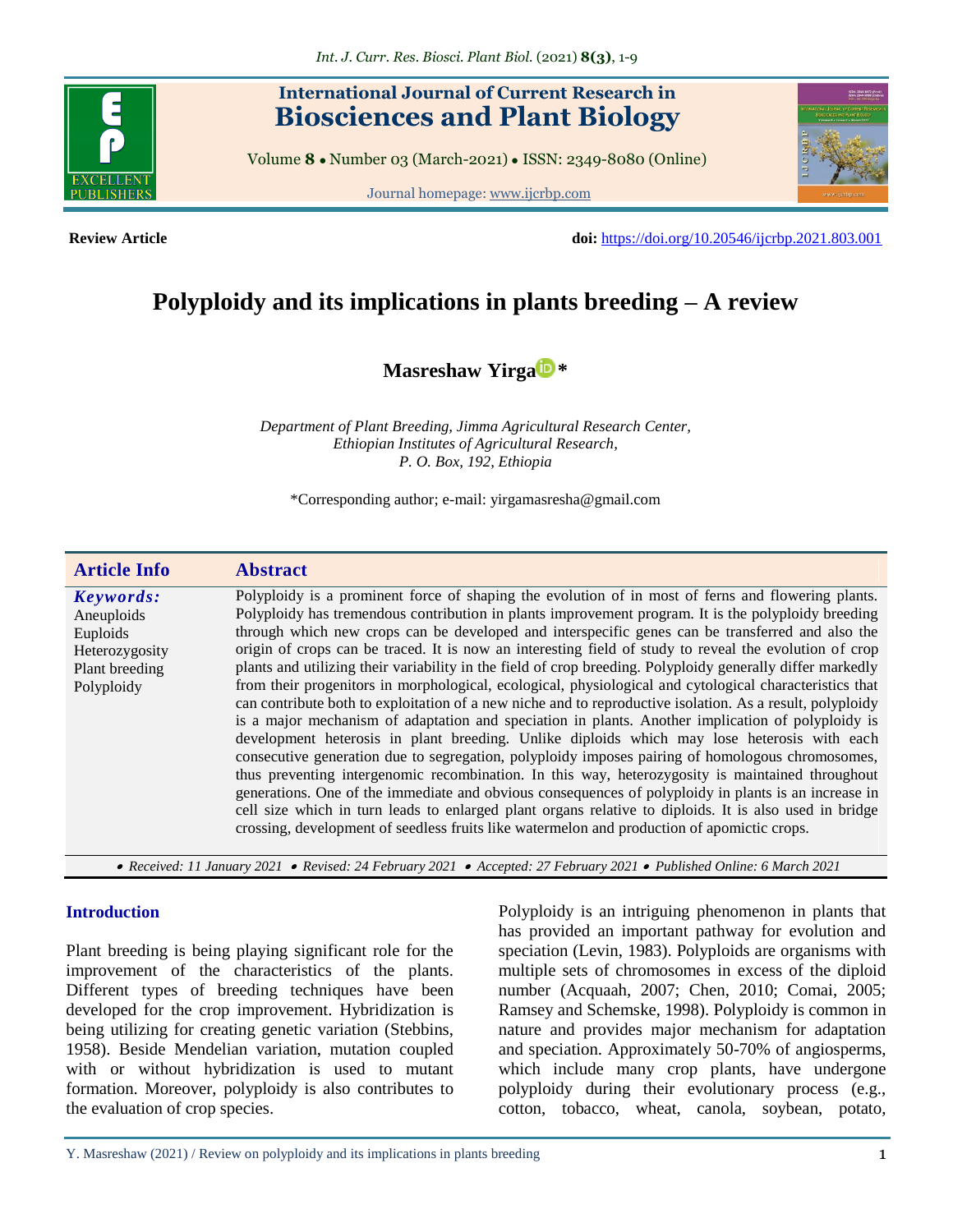# **International Journal of Current Research in Biosciences and Plant Biology**

Volume **8** ● Number 03 (March-2021) ● ISSN: 2349-8080 (Online)

Journal homepage: [www.ijcrbp.com](http://www.ijcrbp.com/)



**Review Article doi:** <https://doi.org/10.20546/ijcrbp.2021.803.001>

# **Polyploidy and its implications in plants breeding – A review**

**[Masreshaw Yirga](https://orcid.org/0000-0002-7923-9852) \***

*Department of Plant Breeding, Jimma Agricultural Research Center, Ethiopian Institutes of Agricultural Research, P. O. Box, 192, Ethiopia*

\*Corresponding author; e-mail: yirgamasresha@gmail.com

| <b>Article Info</b>                                                                   | <b>Abstract</b>                                                                                                                                                                                                                                                                                                                                                                                                                                                                                                                                                                                                                                                                                                                                                                                                                                                                                                                                                                                                                                                                                                                                                                                                                                                                                                                                                                                                                                                                            |
|---------------------------------------------------------------------------------------|--------------------------------------------------------------------------------------------------------------------------------------------------------------------------------------------------------------------------------------------------------------------------------------------------------------------------------------------------------------------------------------------------------------------------------------------------------------------------------------------------------------------------------------------------------------------------------------------------------------------------------------------------------------------------------------------------------------------------------------------------------------------------------------------------------------------------------------------------------------------------------------------------------------------------------------------------------------------------------------------------------------------------------------------------------------------------------------------------------------------------------------------------------------------------------------------------------------------------------------------------------------------------------------------------------------------------------------------------------------------------------------------------------------------------------------------------------------------------------------------|
| Keywords:<br>Aneuploids<br>Euploids<br>Heterozygosity<br>Plant breeding<br>Polyploidy | Polyploidy is a prominent force of shaping the evolution of in most of ferns and flowering plants.<br>Polyploidy has tremendous contribution in plants improvement program. It is the polyploidy breeding<br>through which new crops can be developed and interspecific genes can be transferred and also the<br>origin of crops can be traced. It is now an interesting field of study to reveal the evolution of crop<br>plants and utilizing their variability in the field of crop breeding. Polyploidy generally differ markedly<br>from their progenitors in morphological, ecological, physiological and cytological characteristics that<br>can contribute both to exploitation of a new niche and to reproductive isolation. As a result, polyploidy<br>is a major mechanism of adaptation and speciation in plants. Another implication of polyploidy is<br>development heterosis in plant breeding. Unlike diploids which may lose heterosis with each<br>consecutive generation due to segregation, polyploidy imposes pairing of homologous chromosomes,<br>thus preventing intergenomic recombination. In this way, heterozygosity is maintained throughout<br>generations. One of the immediate and obvious consequences of polyploidy in plants is an increase in<br>cell size which in turn leads to enlarged plant organs relative to diploids. It is also used in bridge<br>crossing, development of seedless fruits like watermelon and production of apomictic crops. |

 *Received: 11 January 2021 Revised: 24 February 2021 Accepted: 27 February 2021 Published Online: 6 March 2021*

#### **Introduction**

Plant breeding is being playing significant role for the improvement of the characteristics of the plants. Different types of breeding techniques have been developed for the crop improvement. Hybridization is being utilizing for creating genetic variation (Stebbins, 1958). Beside Mendelian variation, mutation coupled with or without hybridization is used to mutant formation. Moreover, polyploidy is also contributes to the evaluation of crop species.

Polyploidy is an intriguing phenomenon in plants that has provided an important pathway for evolution and speciation (Levin, 1983). Polyploids are organisms with multiple sets of chromosomes in excess of the diploid number (Acquaah, 2007; Chen, 2010; Comai, 2005; Ramsey and Schemske, 1998). Polyploidy is common in nature and provides major mechanism for adaptation and speciation. Approximately 50-70% of angiosperms, which include many crop plants, have undergone polyploidy during their evolutionary process (e.g., cotton, tobacco, wheat, canola, soybean, potato,

Y. Masreshaw (2021) / Review on polyploidy and its implications in plants breeding 1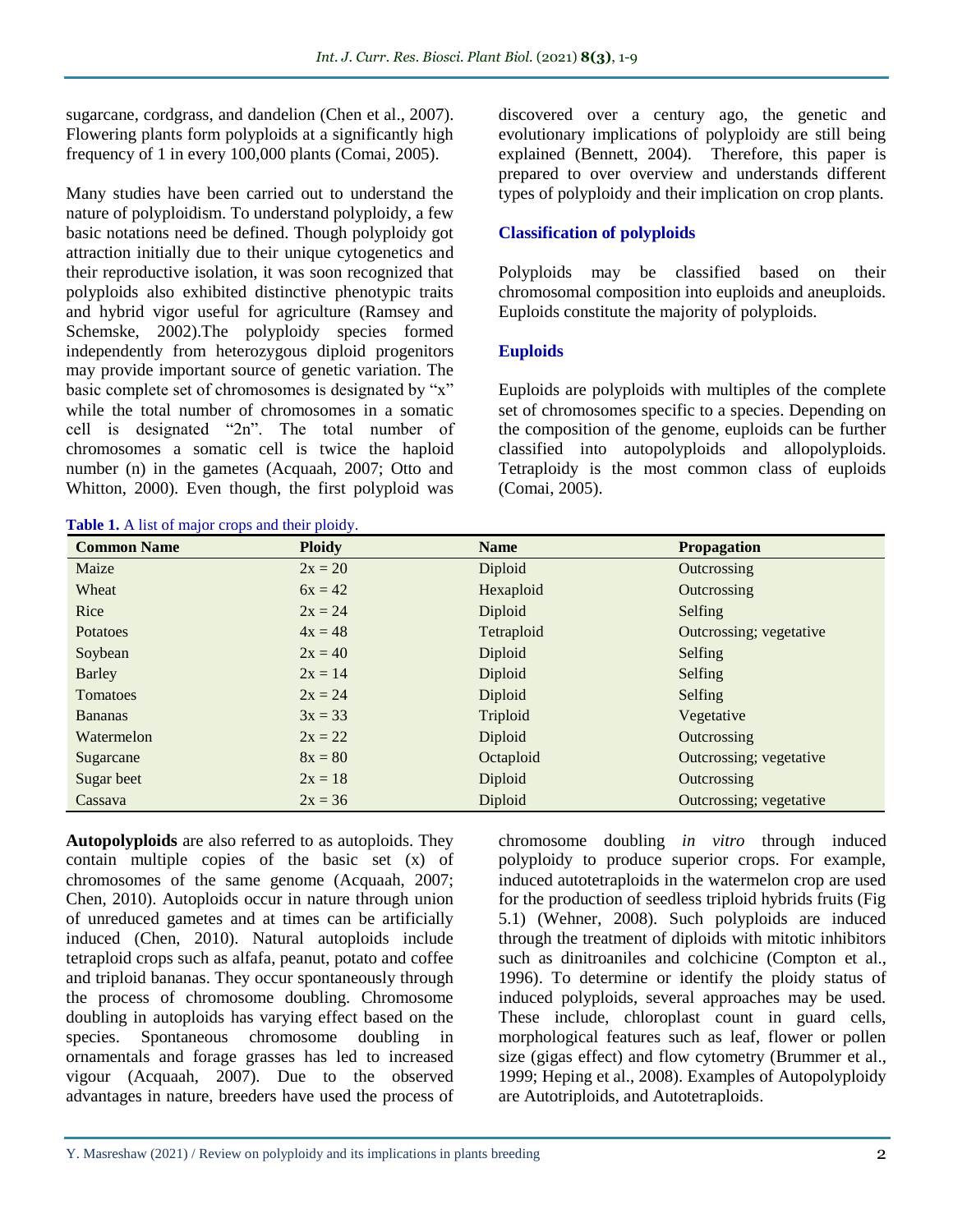sugarcane, cordgrass, and dandelion (Chen et al., 2007). Flowering plants form polyploids at a significantly high frequency of 1 in every 100,000 plants (Comai, 2005).

Many studies have been carried out to understand the nature of polyploidism. To understand polyploidy, a few basic notations need be defined. Though polyploidy got attraction initially due to their unique cytogenetics and their reproductive isolation, it was soon recognized that polyploids also exhibited distinctive phenotypic traits and hybrid vigor useful for agriculture (Ramsey and Schemske, 2002).The polyploidy species formed independently from heterozygous diploid progenitors may provide important source of genetic variation. The basic complete set of chromosomes is designated by "x" while the total number of chromosomes in a somatic cell is designated "2n". The total number of chromosomes a somatic cell is twice the haploid number (n) in the gametes (Acquaah, 2007; Otto and Whitton, 2000). Even though, the first polyploid was

**Table 1.** A list of major crops and their ploidy.

discovered over a century ago, the genetic and evolutionary implications of polyploidy are still being explained (Bennett, 2004). Therefore, this paper is prepared to over overview and understands different types of polyploidy and their implication on crop plants.

# **Classification of polyploids**

Polyploids may be classified based on their chromosomal composition into euploids and aneuploids. Euploids constitute the majority of polyploids.

### **Euploids**

Euploids are polyploids with multiples of the complete set of chromosomes specific to a species. Depending on the composition of the genome, euploids can be further classified into autopolyploids and allopolyploids. Tetraploidy is the most common class of euploids (Comai, 2005).

| <b>Common Name</b> | <b>Ploidy</b> | <b>Name</b> | <b>Propagation</b>      |
|--------------------|---------------|-------------|-------------------------|
| Maize              | $2x = 20$     | Diploid     | Outcrossing             |
| Wheat              | $6x = 42$     | Hexaploid   | Outcrossing             |
| Rice               | $2x = 24$     | Diploid     | Selfing                 |
| Potatoes           | $4x = 48$     | Tetraploid  | Outcrossing; vegetative |
| Soybean            | $2x = 40$     | Diploid     | Selfing                 |
| Barley             | $2x = 14$     | Diploid     | Selfing                 |
| Tomatoes           | $2x = 24$     | Diploid     | Selfing                 |
| <b>Bananas</b>     | $3x = 33$     | Triploid    | Vegetative              |
| Watermelon         | $2x = 22$     | Diploid     | Outcrossing             |
| Sugarcane          | $8x = 80$     | Octaploid   | Outcrossing; vegetative |
| Sugar beet         | $2x = 18$     | Diploid     | Outcrossing             |
| Cassava            | $2x = 36$     | Diploid     | Outcrossing; vegetative |

**Autopolyploids** are also referred to as autoploids. They contain multiple copies of the basic set (x) of chromosomes of the same genome (Acquaah, 2007; Chen, 2010). Autoploids occur in nature through union of unreduced gametes and at times can be artificially induced (Chen, 2010). Natural autoploids include tetraploid crops such as alfafa, peanut, potato and coffee and triploid bananas. They occur spontaneously through the process of chromosome doubling. Chromosome doubling in autoploids has varying effect based on the species. Spontaneous chromosome doubling in ornamentals and forage grasses has led to increased vigour (Acquaah, 2007). Due to the observed advantages in nature, breeders have used the process of

chromosome doubling *in vitro* through induced polyploidy to produce superior crops. For example, induced autotetraploids in the watermelon crop are used for the production of seedless triploid hybrids fruits (Fig 5.1) (Wehner, 2008). Such polyploids are induced through the treatment of diploids with mitotic inhibitors such as dinitroaniles and colchicine (Compton et al., 1996). To determine or identify the ploidy status of induced polyploids, several approaches may be used. These include, chloroplast count in guard cells, morphological features such as leaf, flower or pollen size (gigas effect) and flow cytometry (Brummer et al., 1999; Heping et al., 2008). Examples of Autopolyploidy are Autotriploids, and Autotetraploids.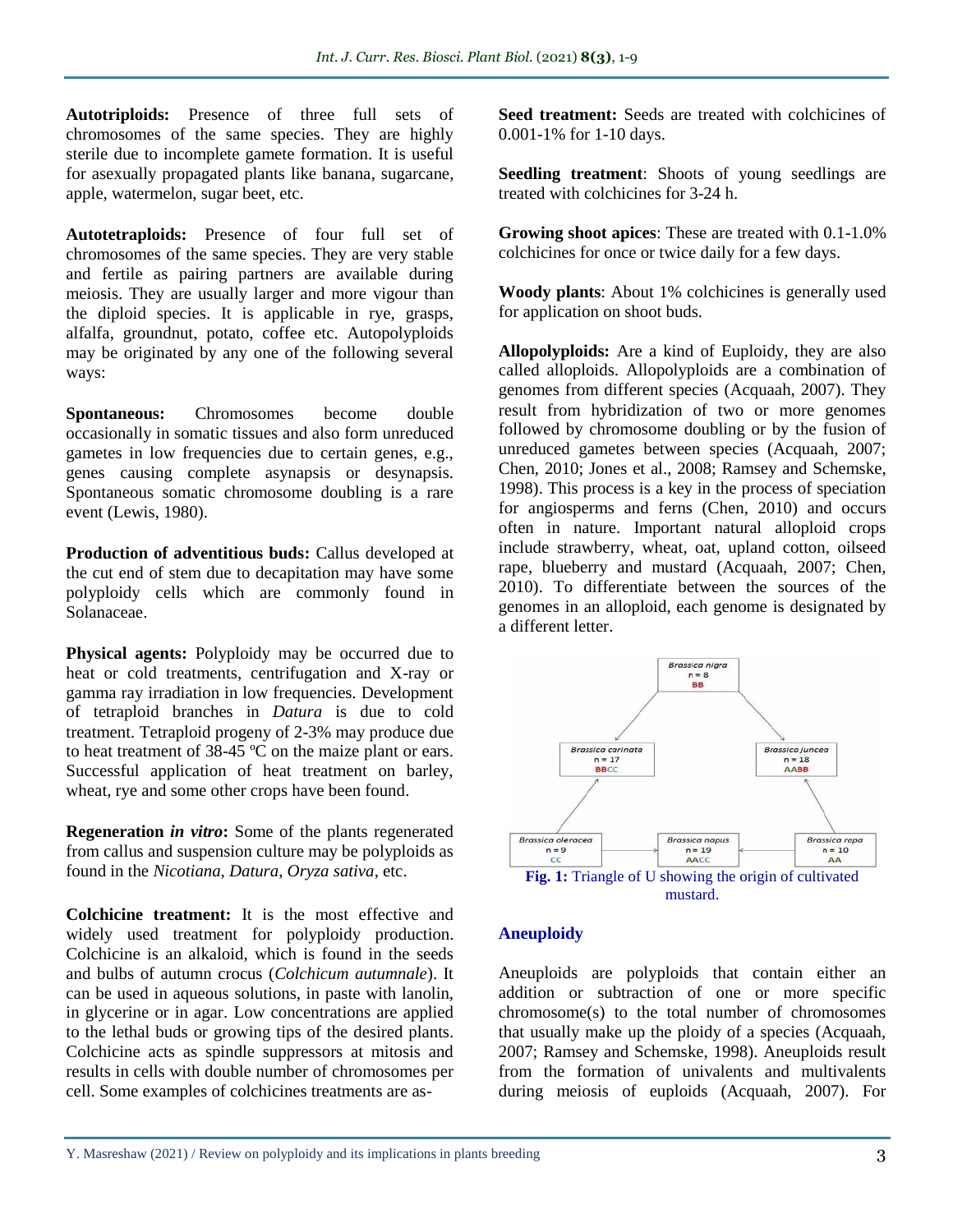**Autotriploids:** Presence of three full sets of chromosomes of the same species. They are highly sterile due to incomplete gamete formation. It is useful for asexually propagated plants like banana, sugarcane, apple, watermelon, sugar beet, etc.

**Autotetraploids:** Presence of four full set of chromosomes of the same species. They are very stable and fertile as pairing partners are available during meiosis. They are usually larger and more vigour than the diploid species. It is applicable in rye, grasps, alfalfa, groundnut, potato, coffee etc. Autopolyploids may be originated by any one of the following several ways:

**Spontaneous:** Chromosomes become double occasionally in somatic tissues and also form unreduced gametes in low frequencies due to certain genes, e.g., genes causing complete asynapsis or desynapsis. Spontaneous somatic chromosome doubling is a rare event (Lewis, 1980).

**Production of adventitious buds:** Callus developed at the cut end of stem due to decapitation may have some polyploidy cells which are commonly found in Solanaceae.

**Physical agents:** Polyploidy may be occurred due to heat or cold treatments, centrifugation and X-ray or gamma ray irradiation in low frequencies. Development of tetraploid branches in *Datura* is due to cold treatment. Tetraploid progeny of 2-3% may produce due to heat treatment of 38-45 ºC on the maize plant or ears. Successful application of heat treatment on barley, wheat, rye and some other crops have been found.

**Regeneration** *in vitro***:** Some of the plants regenerated from callus and suspension culture may be polyploids as found in the *Nicotiana, Datura, Oryza sativa*, etc.

**Colchicine treatment:** It is the most effective and widely used treatment for polyploidy production. Colchicine is an alkaloid, which is found in the seeds and bulbs of autumn crocus (*Colchicum autumnale*). It can be used in aqueous solutions, in paste with lanolin, in glycerine or in agar. Low concentrations are applied to the lethal buds or growing tips of the desired plants. Colchicine acts as spindle suppressors at mitosis and results in cells with double number of chromosomes per cell. Some examples of colchicines treatments are as**Seed treatment:** Seeds are treated with colchicines of 0.001-1% for 1-10 days.

**Seedling treatment**: Shoots of young seedlings are treated with colchicines for 3-24 h.

**Growing shoot apices**: These are treated with 0.1-1.0% colchicines for once or twice daily for a few days.

**Woody plants**: About 1% colchicines is generally used for application on shoot buds.

**Allopolyploids:** Are a kind of Euploidy, they are also called alloploids. Allopolyploids are a combination of genomes from different species (Acquaah, 2007). They result from hybridization of two or more genomes followed by chromosome doubling or by the fusion of unreduced gametes between species (Acquaah, 2007; Chen, 2010; Jones et al., 2008; Ramsey and Schemske, 1998). This process is a key in the process of speciation for angiosperms and ferns (Chen, 2010) and occurs often in nature. Important natural alloploid crops include strawberry, wheat, oat, upland cotton, oilseed rape, blueberry and mustard (Acquaah, 2007; Chen, 2010). To differentiate between the sources of the genomes in an alloploid, each genome is designated by a different letter.



# **Aneuploidy**

Aneuploids are polyploids that contain either an addition or subtraction of one or more specific chromosome(s) to the total number of chromosomes that usually make up the ploidy of a species (Acquaah, 2007; Ramsey and Schemske, 1998). Aneuploids result from the formation of univalents and multivalents during meiosis of euploids (Acquaah, 2007). For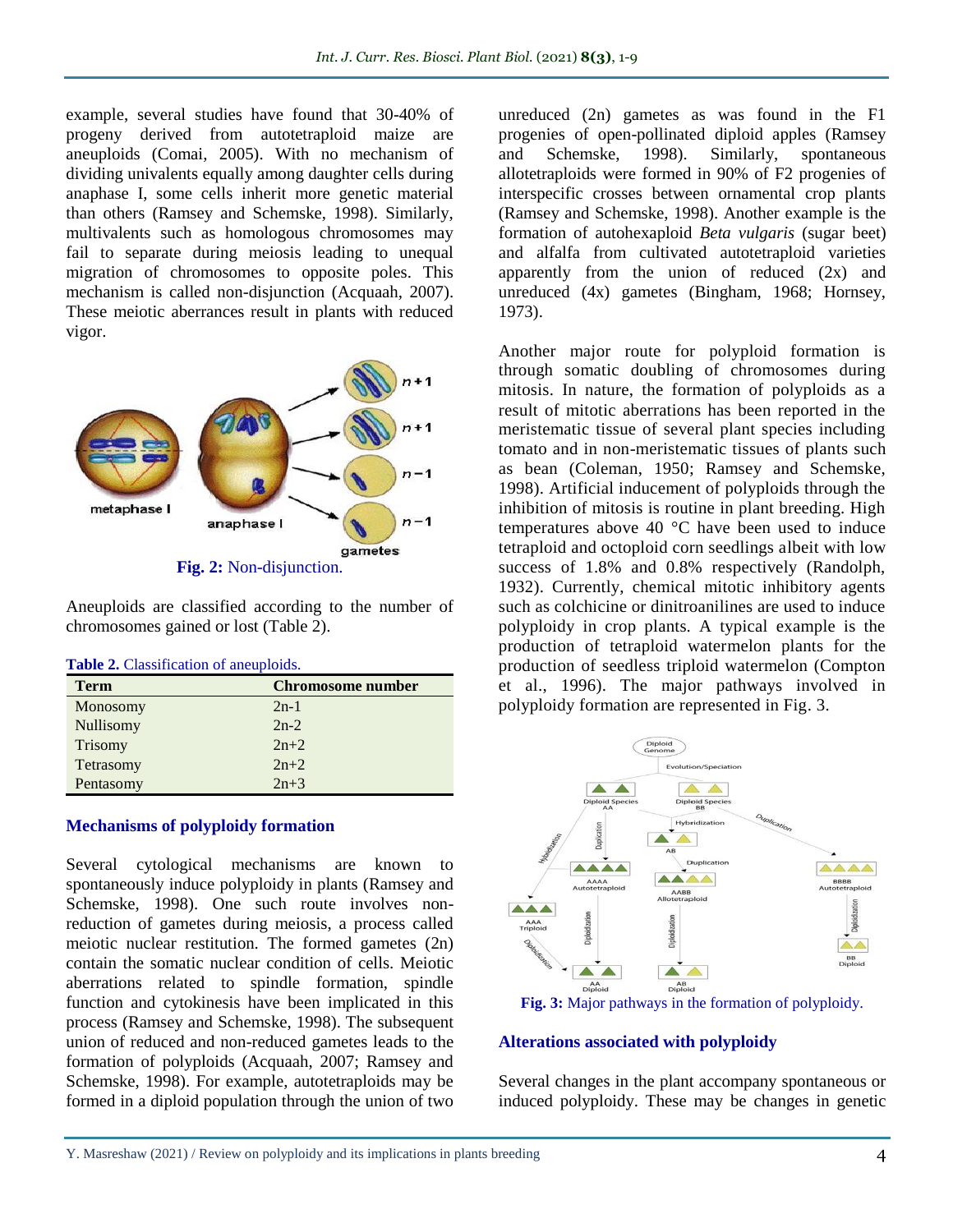example, several studies have found that 30-40% of progeny derived from autotetraploid maize are aneuploids (Comai, 2005). With no mechanism of dividing univalents equally among daughter cells during anaphase I, some cells inherit more genetic material than others (Ramsey and Schemske, 1998). Similarly, multivalents such as homologous chromosomes may fail to separate during meiosis leading to unequal migration of chromosomes to opposite poles. This mechanism is called non-disjunction (Acquaah, 2007). These meiotic aberrances result in plants with reduced vigor.



Aneuploids are classified according to the number of chromosomes gained or lost (Table 2).

| <b>Table 2.</b> Classification of aneuploids. |  |
|-----------------------------------------------|--|
|                                               |  |

| <b>Term</b> | <b>Chromosome number</b> |
|-------------|--------------------------|
| Monosomy    | $2n-1$                   |
| Nullisomy   | $2n-2$                   |
| Trisomy     | $2n+2$                   |
| Tetrasomy   | $2n+2$                   |
| Pentasomy   | $2n+3$                   |

#### **Mechanisms of polyploidy formation**

Several cytological mechanisms are known to spontaneously induce polyploidy in plants (Ramsey and Schemske, 1998). One such route involves nonreduction of gametes during meiosis, a process called meiotic nuclear restitution. The formed gametes (2n) contain the somatic nuclear condition of cells. Meiotic aberrations related to spindle formation, spindle function and cytokinesis have been implicated in this process (Ramsey and Schemske, 1998). The subsequent union of reduced and non-reduced gametes leads to the formation of polyploids (Acquaah, 2007; Ramsey and Schemske, 1998). For example, autotetraploids may be formed in a diploid population through the union of two

unreduced (2n) gametes as was found in the F1 progenies of open-pollinated diploid apples (Ramsey and Schemske, 1998). Similarly, spontaneous allotetraploids were formed in 90% of F2 progenies of interspecific crosses between ornamental crop plants (Ramsey and Schemske, 1998). Another example is the formation of autohexaploid *Beta vulgaris* (sugar beet) and alfalfa from cultivated autotetraploid varieties apparently from the union of reduced (2x) and unreduced (4x) gametes (Bingham, 1968; Hornsey, 1973).

Another major route for polyploid formation is through somatic doubling of chromosomes during mitosis. In nature, the formation of polyploids as a result of mitotic aberrations has been reported in the meristematic tissue of several plant species including tomato and in non-meristematic tissues of plants such as bean (Coleman, 1950; Ramsey and Schemske, 1998). Artificial inducement of polyploids through the inhibition of mitosis is routine in plant breeding. High temperatures above 40 °C have been used to induce tetraploid and octoploid corn seedlings albeit with low success of 1.8% and 0.8% respectively (Randolph, 1932). Currently, chemical mitotic inhibitory agents such as colchicine or dinitroanilines are used to induce polyploidy in crop plants. A typical example is the production of tetraploid watermelon plants for the production of seedless triploid watermelon (Compton et al., 1996). The major pathways involved in polyploidy formation are represented in Fig. 3.



**Fig. 3:** Major pathways in the formation of polyploidy.

# **Alterations associated with polyploidy**

Several changes in the plant accompany spontaneous or induced polyploidy. These may be changes in genetic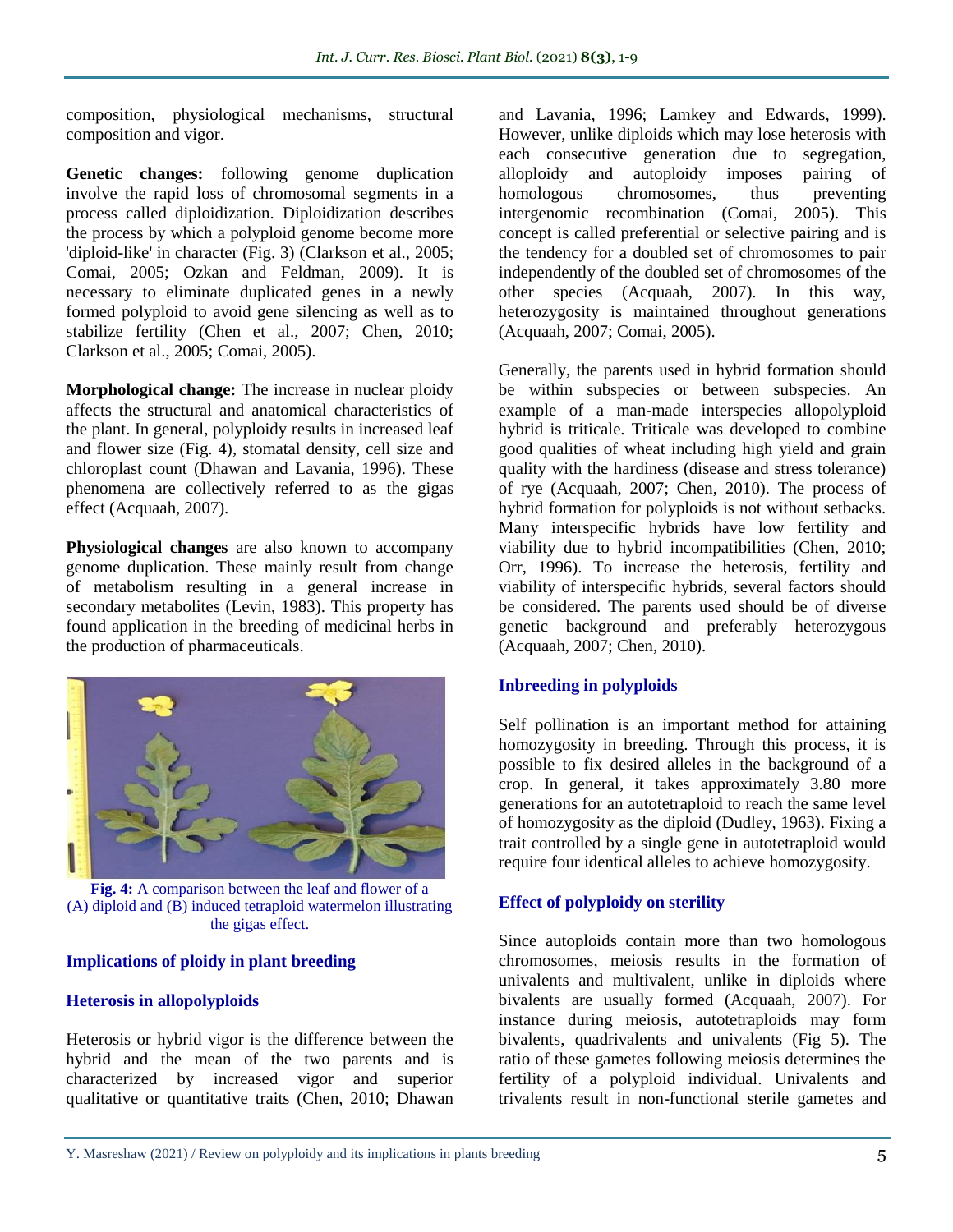composition, physiological mechanisms, structural composition and vigor.

**Genetic changes:** following genome duplication involve the rapid loss of chromosomal segments in a process called diploidization. Diploidization describes the process by which a polyploid genome become more 'diploid-like' in character (Fig. 3) (Clarkson et al., 2005; Comai, 2005; Ozkan and Feldman, 2009). It is necessary to eliminate duplicated genes in a newly formed polyploid to avoid gene silencing as well as to stabilize fertility (Chen et al., 2007; Chen, 2010; Clarkson et al., 2005; Comai, 2005).

**Morphological change:** The increase in nuclear ploidy affects the structural and anatomical characteristics of the plant. In general, polyploidy results in increased leaf and flower size (Fig. 4), stomatal density, cell size and chloroplast count (Dhawan and Lavania, 1996). These phenomena are collectively referred to as the gigas effect (Acquaah, 2007).

**Physiological changes** are also known to accompany genome duplication. These mainly result from change of metabolism resulting in a general increase in secondary metabolites (Levin, 1983). This property has found application in the breeding of medicinal herbs in the production of pharmaceuticals.



**Fig. 4:** A comparison between the leaf and flower of a (A) diploid and (B) induced tetraploid watermelon illustrating the gigas effect.

# **Implications of ploidy in plant breeding**

# **Heterosis in allopolyploids**

Heterosis or hybrid vigor is the difference between the hybrid and the mean of the two parents and is characterized by increased vigor and superior qualitative or quantitative traits (Chen, 2010; Dhawan and Lavania, 1996; Lamkey and Edwards, 1999). However, unlike diploids which may lose heterosis with each consecutive generation due to segregation, alloploidy and autoploidy imposes pairing of homologous chromosomes, thus preventing intergenomic recombination (Comai, 2005). This concept is called preferential or selective pairing and is the tendency for a doubled set of chromosomes to pair independently of the doubled set of chromosomes of the other species (Acquaah, 2007). In this way, heterozygosity is maintained throughout generations (Acquaah, 2007; Comai, 2005).

Generally, the parents used in hybrid formation should be within subspecies or between subspecies. An example of a man-made interspecies allopolyploid hybrid is triticale. Triticale was developed to combine good qualities of wheat including high yield and grain quality with the hardiness (disease and stress tolerance) of rye (Acquaah, 2007; Chen, 2010). The process of hybrid formation for polyploids is not without setbacks. Many interspecific hybrids have low fertility and viability due to hybrid incompatibilities (Chen, 2010; Orr, 1996). To increase the heterosis, fertility and viability of interspecific hybrids, several factors should be considered. The parents used should be of diverse genetic background and preferably heterozygous (Acquaah, 2007; Chen, 2010).

# **Inbreeding in polyploids**

Self pollination is an important method for attaining homozygosity in breeding. Through this process, it is possible to fix desired alleles in the background of a crop. In general, it takes approximately 3.80 more generations for an autotetraploid to reach the same level of homozygosity as the diploid (Dudley, 1963). Fixing a trait controlled by a single gene in autotetraploid would require four identical alleles to achieve homozygosity.

# **Effect of polyploidy on sterility**

Since autoploids contain more than two homologous chromosomes, meiosis results in the formation of univalents and multivalent, unlike in diploids where bivalents are usually formed (Acquaah, 2007). For instance during meiosis, autotetraploids may form bivalents, quadrivalents and univalents (Fig 5). The ratio of these gametes following meiosis determines the fertility of a polyploid individual. Univalents and trivalents result in non-functional sterile gametes and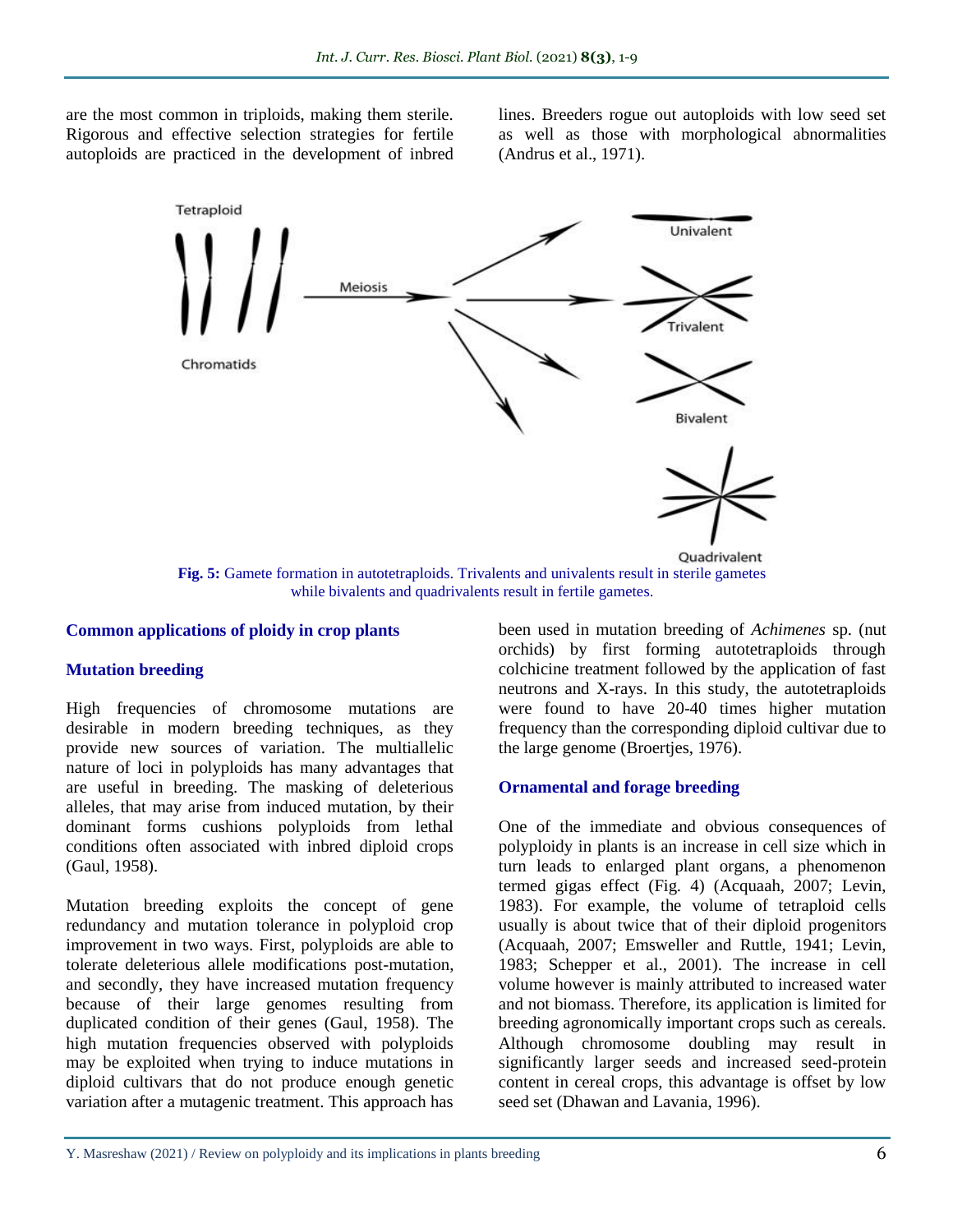are the most common in triploids, making them sterile. Rigorous and effective selection strategies for fertile autoploids are practiced in the development of inbred

lines. Breeders rogue out autoploids with low seed set as well as those with morphological abnormalities (Andrus et al., 1971).



**Fig. 5:** Gamete formation in autotetraploids. Trivalents and univalents result in sterile gametes while bivalents and quadrivalents result in fertile gametes.

#### **Common applications of ploidy in crop plants**

#### **Mutation breeding**

High frequencies of chromosome mutations are desirable in modern breeding techniques, as they provide new sources of variation. The multiallelic nature of loci in polyploids has many advantages that are useful in breeding. The masking of deleterious alleles, that may arise from induced mutation, by their dominant forms cushions polyploids from lethal conditions often associated with inbred diploid crops (Gaul, 1958).

Mutation breeding exploits the concept of gene redundancy and mutation tolerance in polyploid crop improvement in two ways. First, polyploids are able to tolerate deleterious allele modifications post-mutation, and secondly, they have increased mutation frequency because of their large genomes resulting from duplicated condition of their genes (Gaul, 1958). The high mutation frequencies observed with polyploids may be exploited when trying to induce mutations in diploid cultivars that do not produce enough genetic variation after a mutagenic treatment. This approach has

been used in mutation breeding of *Achimenes* sp. (nut orchids) by first forming autotetraploids through colchicine treatment followed by the application of fast neutrons and X-rays. In this study, the autotetraploids were found to have 20-40 times higher mutation frequency than the corresponding diploid cultivar due to the large genome (Broertjes, 1976).

#### **Ornamental and forage breeding**

One of the immediate and obvious consequences of polyploidy in plants is an increase in cell size which in turn leads to enlarged plant organs, a phenomenon termed gigas effect (Fig. 4) (Acquaah, 2007; Levin, 1983). For example, the volume of tetraploid cells usually is about twice that of their diploid progenitors (Acquaah, 2007; Emsweller and Ruttle, 1941; Levin, 1983; Schepper et al., 2001). The increase in cell volume however is mainly attributed to increased water and not biomass. Therefore, its application is limited for breeding agronomically important crops such as cereals. Although chromosome doubling may result in significantly larger seeds and increased seed-protein content in cereal crops, this advantage is offset by low seed set (Dhawan and Lavania, 1996).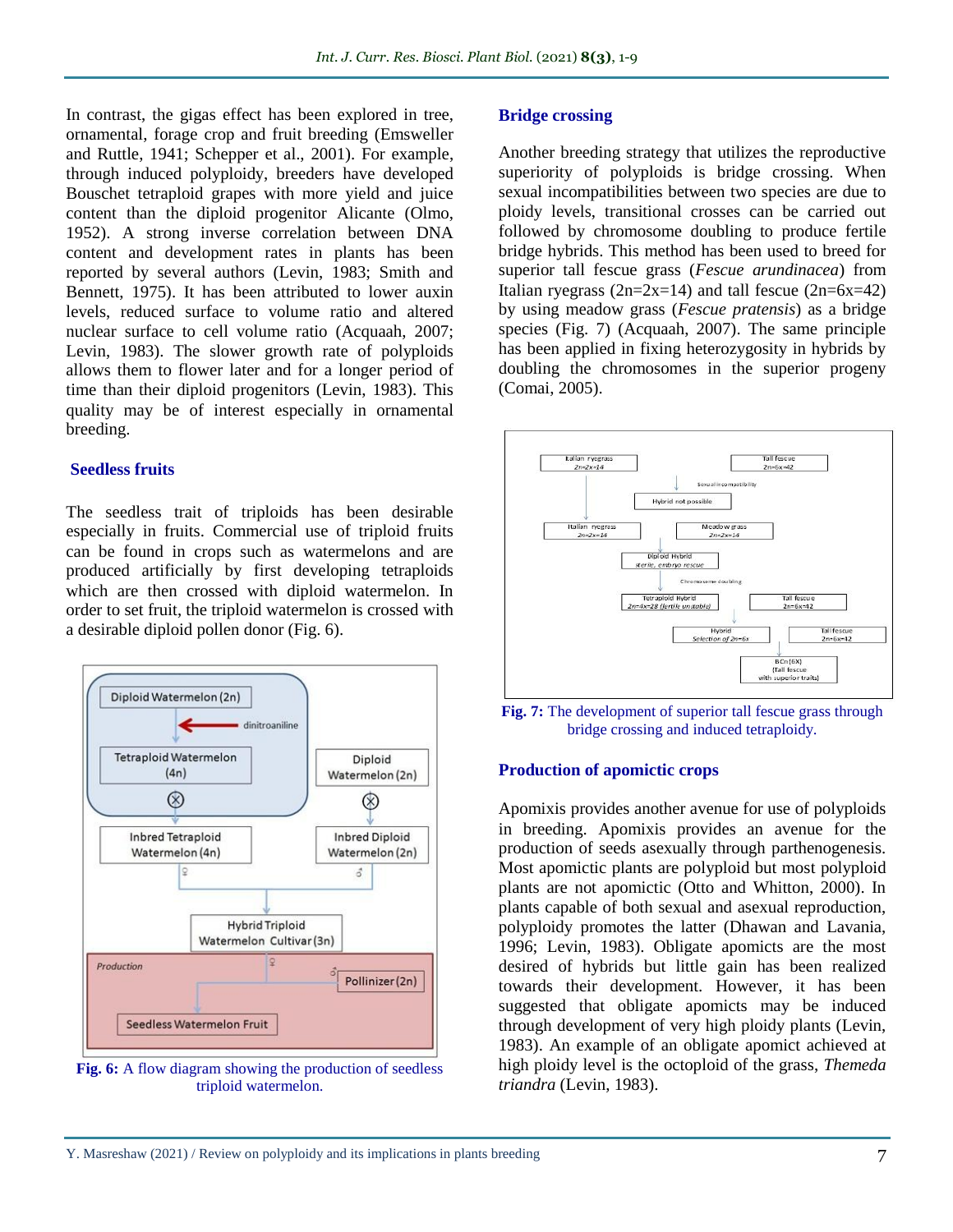In contrast, the gigas effect has been explored in tree, ornamental, forage crop and fruit breeding (Emsweller and Ruttle, 1941; Schepper et al., 2001). For example, through induced polyploidy, breeders have developed Bouschet tetraploid grapes with more yield and juice content than the diploid progenitor Alicante (Olmo, 1952). A strong inverse correlation between DNA content and development rates in plants has been reported by several authors (Levin, 1983; Smith and Bennett, 1975). It has been attributed to lower auxin levels, reduced surface to volume ratio and altered nuclear surface to cell volume ratio (Acquaah, 2007; Levin, 1983). The slower growth rate of polyploids allows them to flower later and for a longer period of time than their diploid progenitors (Levin, 1983). This quality may be of interest especially in ornamental breeding.

#### **Seedless fruits**

The seedless trait of triploids has been desirable especially in fruits. Commercial use of triploid fruits can be found in crops such as watermelons and are produced artificially by first developing tetraploids which are then crossed with diploid watermelon. In order to set fruit, the triploid watermelon is crossed with a desirable diploid pollen donor (Fig. 6).



**Fig. 6:** A flow diagram showing the production of seedless triploid watermelon.

#### **Bridge crossing**

Another breeding strategy that utilizes the reproductive superiority of polyploids is bridge crossing. When sexual incompatibilities between two species are due to ploidy levels, transitional crosses can be carried out followed by chromosome doubling to produce fertile bridge hybrids. This method has been used to breed for superior tall fescue grass (*Fescue arundinacea*) from Italian ryegrass  $(2n=2x=14)$  and tall fescue  $(2n=6x=42)$ by using meadow grass (*Fescue pratensis*) as a bridge species (Fig. 7) (Acquaah, 2007). The same principle has been applied in fixing heterozygosity in hybrids by doubling the chromosomes in the superior progeny (Comai, 2005).



**Fig. 7:** The development of superior tall fescue grass through bridge crossing and induced tetraploidy.

#### **Production of apomictic crops**

Apomixis provides another avenue for use of polyploids in breeding. Apomixis provides an avenue for the production of seeds asexually through parthenogenesis. Most apomictic plants are polyploid but most polyploid plants are not apomictic (Otto and Whitton, 2000). In plants capable of both sexual and asexual reproduction, polyploidy promotes the latter (Dhawan and Lavania, 1996; Levin, 1983). Obligate apomicts are the most desired of hybrids but little gain has been realized towards their development. However, it has been suggested that obligate apomicts may be induced through development of very high ploidy plants (Levin, 1983). An example of an obligate apomict achieved at high ploidy level is the octoploid of the grass, *Themeda triandra* (Levin, 1983).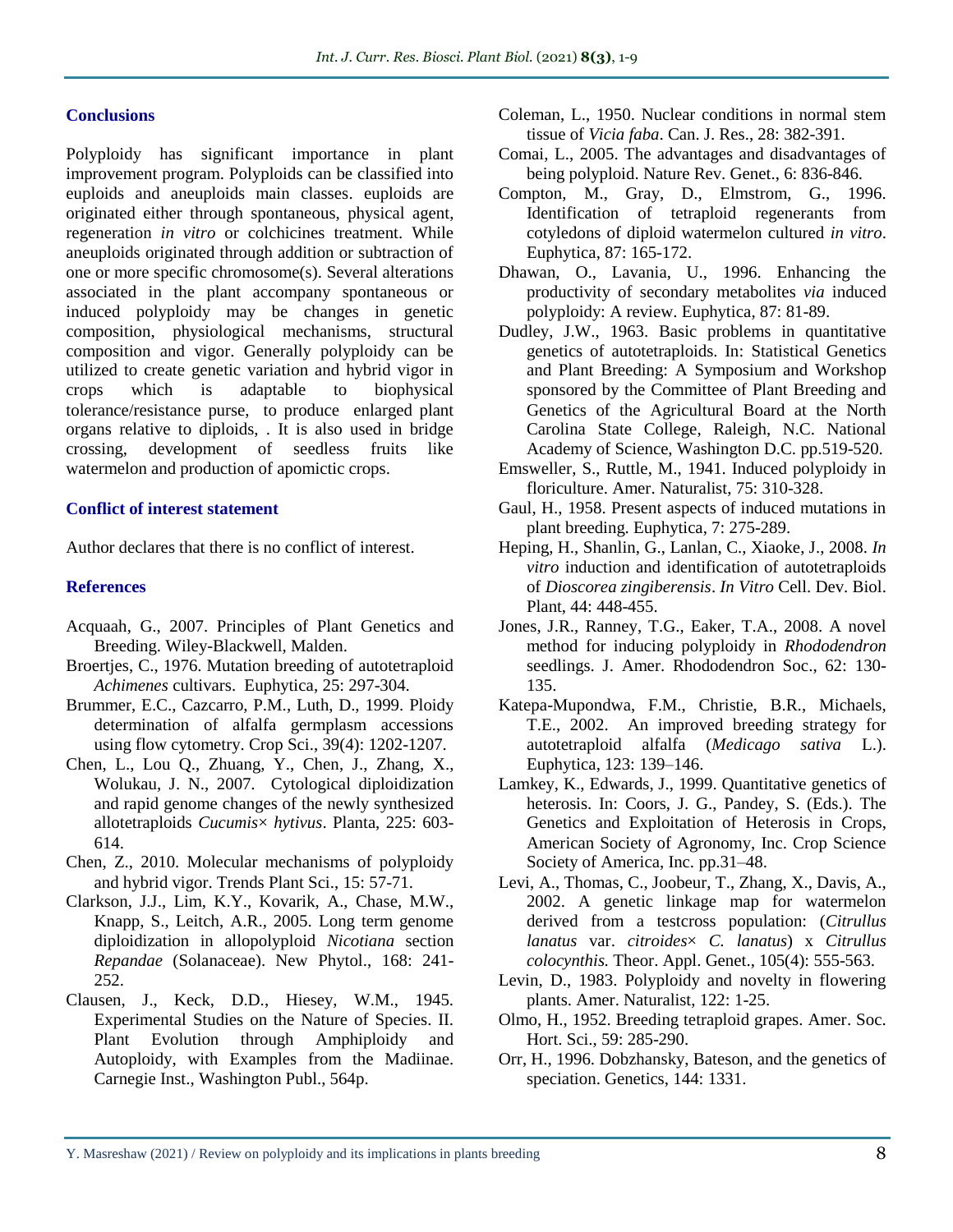#### **Conclusions**

Polyploidy has significant importance in plant improvement program. Polyploids can be classified into euploids and aneuploids main classes. euploids are originated either through spontaneous, physical agent, regeneration *in vitro* or colchicines treatment. While aneuploids originated through addition or subtraction of one or more specific chromosome(s). Several alterations associated in the plant accompany spontaneous or induced polyploidy may be changes in genetic composition, physiological mechanisms, structural composition and vigor. Generally polyploidy can be utilized to create genetic variation and hybrid vigor in crops which is adaptable to biophysical tolerance/resistance purse, to produce enlarged plant organs relative to diploids, . It is also used in bridge crossing, development of seedless fruits like watermelon and production of apomictic crops.

### **Conflict of interest statement**

Author declares that there is no conflict of interest.

#### **References**

- Acquaah, G., 2007. Principles of Plant Genetics and Breeding. Wiley-Blackwell, Malden.
- Broertjes, C., 1976. Mutation breeding of autotetraploid *Achimenes* cultivars. Euphytica, 25: 297-304.
- Brummer, E.C., Cazcarro, P.M., Luth, D., 1999. Ploidy determination of alfalfa germplasm accessions using flow cytometry. Crop Sci., 39(4): 1202-1207.
- Chen, L., Lou Q., Zhuang, Y., Chen, J., Zhang, X., Wolukau, J. N., 2007. Cytological diploidization and rapid genome changes of the newly synthesized allotetraploids *Cucumis*× *hytivus*. Planta, 225: 603- 614.
- Chen, Z., 2010. Molecular mechanisms of polyploidy and hybrid vigor. Trends Plant Sci., 15: 57-71.
- Clarkson, J.J., Lim, K.Y., Kovarik, A., Chase, M.W., Knapp, S., Leitch, A.R., 2005. Long term genome diploidization in allopolyploid *Nicotiana* section *Repandae* (Solanaceae). New Phytol., 168: 241- 252.
- Clausen, J., Keck, D.D., Hiesey, W.M., 1945. Experimental Studies on the Nature of Species. II. Plant Evolution through Amphiploidy and Autoploidy, with Examples from the Madiinae. Carnegie Inst., Washington Publ., 564p.
- Coleman, L., 1950. Nuclear conditions in normal stem tissue of *Vicia faba*. Can. J. Res., 28: 382-391.
- Comai, L., 2005. The advantages and disadvantages of being polyploid. Nature Rev. Genet., 6: 836-846.
- Compton, M., Gray, D., Elmstrom, G., 1996. Identification of tetraploid regenerants from cotyledons of diploid watermelon cultured *in vitro*. Euphytica, 87: 165-172.
- Dhawan, O., Lavania, U., 1996. Enhancing the productivity of secondary metabolites *via* induced polyploidy: A review. Euphytica, 87: 81-89.
- Dudley, J.W., 1963. Basic problems in quantitative genetics of autotetraploids. In: Statistical Genetics and Plant Breeding: A Symposium and Workshop sponsored by the Committee of Plant Breeding and Genetics of the Agricultural Board at the North Carolina State College, Raleigh, N.C. National Academy of Science, Washington D.C. pp.519-520.
- Emsweller, S., Ruttle, M., 1941. Induced polyploidy in floriculture. Amer. Naturalist, 75: 310-328.
- Gaul, H., 1958. Present aspects of induced mutations in plant breeding. Euphytica, 7: 275-289.
- Heping, H., Shanlin, G., Lanlan, C., Xiaoke, J., 2008. *In vitro* induction and identification of autotetraploids of *Dioscorea zingiberensis*. *In Vitro* Cell. Dev. Biol. Plant, 44: 448-455.
- Jones, J.R., Ranney, T.G., Eaker, T.A., 2008. A novel method for inducing polyploidy in *Rhododendron* seedlings. J. Amer. Rhododendron Soc., 62: 130- 135.
- Katepa-Mupondwa, F.M., Christie, B.R., Michaels, T.E., 2002. An improved breeding strategy for autotetraploid alfalfa (*Medicago sativa* L.). Euphytica, 123: 139–146.
- Lamkey, K., Edwards, J., 1999. Quantitative genetics of heterosis. In: Coors, J. G., Pandey, S. (Eds.). The Genetics and Exploitation of Heterosis in Crops, American Society of Agronomy, Inc. Crop Science Society of America, Inc. pp.31–48.
- Levi, A., Thomas, C., Joobeur, T., Zhang, X., Davis, A., 2002. A genetic linkage map for watermelon derived from a testcross population: (*Citrullus lanatus* var. *citroides*× *C. lanatus*) x *Citrullus colocynthis.* Theor. Appl. Genet., 105(4): 555-563.
- Levin, D., 1983. Polyploidy and novelty in flowering plants. Amer. Naturalist, 122: 1-25.
- Olmo, H., 1952. Breeding tetraploid grapes. Amer. Soc. Hort. Sci., 59: 285-290.
- Orr, H., 1996. Dobzhansky, Bateson, and the genetics of speciation. Genetics, 144: 1331.